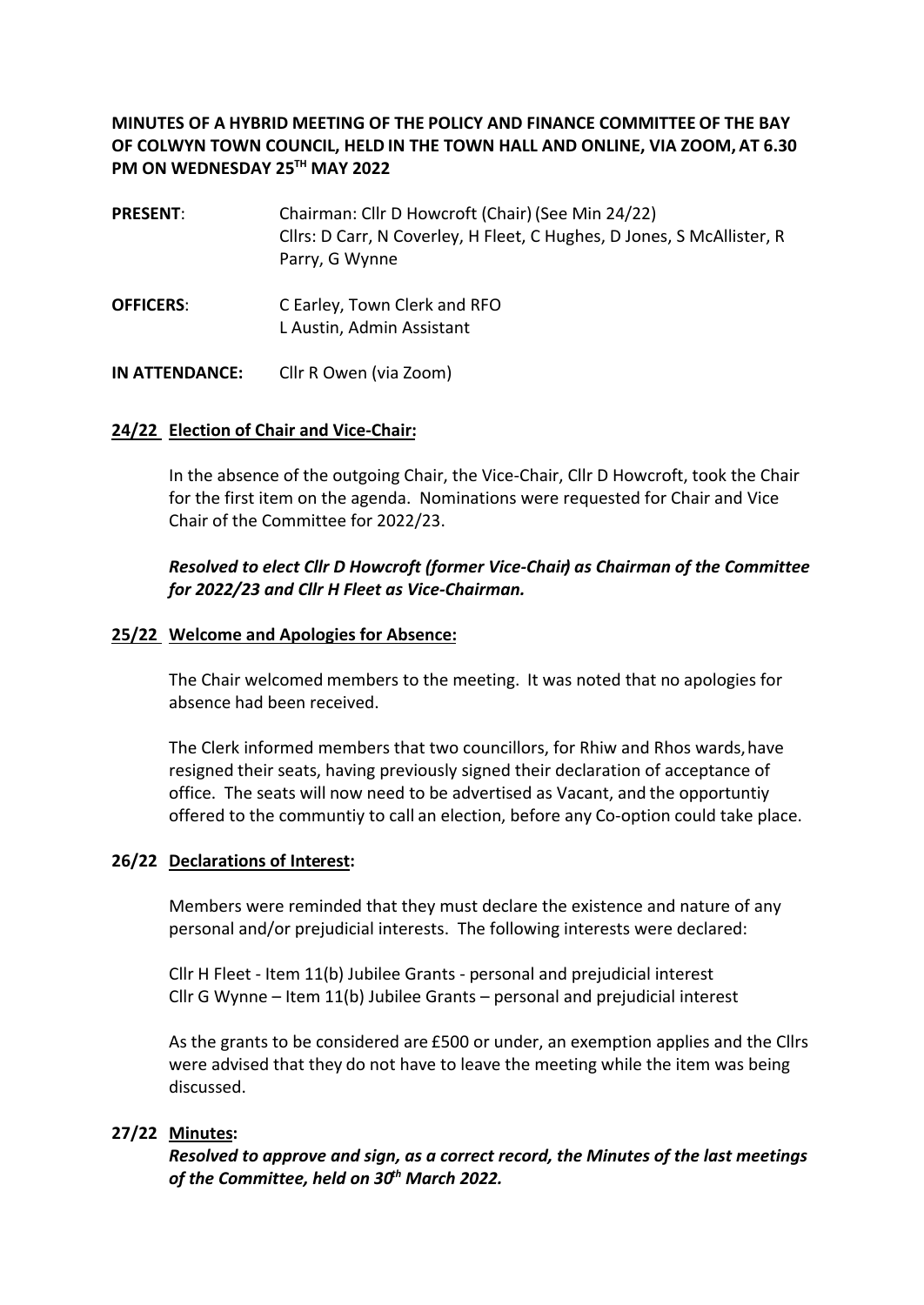## **MINUTES OF A HYBRID MEETING OF THE POLICY AND FINANCE COMMITTEE OF THE BAY OF COLWYN TOWN COUNCIL, HELD IN THE TOWN HALL AND ONLINE, VIA ZOOM, AT 6.30 PM ON WEDNESDAY 25TH MAY 2022**

**PRESENT:** Chairman: Cllr D Howcroft (Chair) (See Min 24/22) Cllrs: D Carr, N Coverley, H Fleet, C Hughes, D Jones, S McAllister, R Parry, G Wynne **OFFICERS**: C Earley, Town Clerk and RFO

L Austin, Admin Assistant

**IN ATTENDANCE:** Cllr R Owen (via Zoom)

#### **24/22 Election of Chair and Vice-Chair:**

In the absence of the outgoing Chair, the Vice-Chair, Cllr D Howcroft, took the Chair for the first item on the agenda. Nominations were requested for Chair and Vice Chair of the Committee for 2022/23.

## *Resolved to elect Cllr D Howcroft (former Vice-Chair) as Chairman of the Committee for 2022/23 and Cllr H Fleet as Vice-Chairman.*

#### **25/22 Welcome and Apologies for Absence:**

The Chair welcomed members to the meeting. It was noted that no apologies for absence had been received.

The Clerk informed members that two councillors, for Rhiw and Rhos wards, have resigned their seats, having previously signed their declaration of acceptance of office. The seats will now need to be advertised as Vacant, and the opportuntiy offered to the communtiy to call an election, before any Co-option could take place.

#### **26/22 Declarations of Interest:**

Members were reminded that they must declare the existence and nature of any personal and/or prejudicial interests. The following interests were declared:

Cllr H Fleet - Item 11(b) Jubilee Grants - personal and prejudicial interest Cllr G Wynne – Item 11(b) Jubilee Grants – personal and prejudicial interest

As the grants to be considered are £500 or under, an exemption applies and the Cllrs were advised that they do not have to leave the meeting while the item was being discussed.

#### **27/22 Minutes:**

*Resolved to approve and sign, as a correct record, the Minutes of the last meetings of the Committee, held on 30th March 2022.*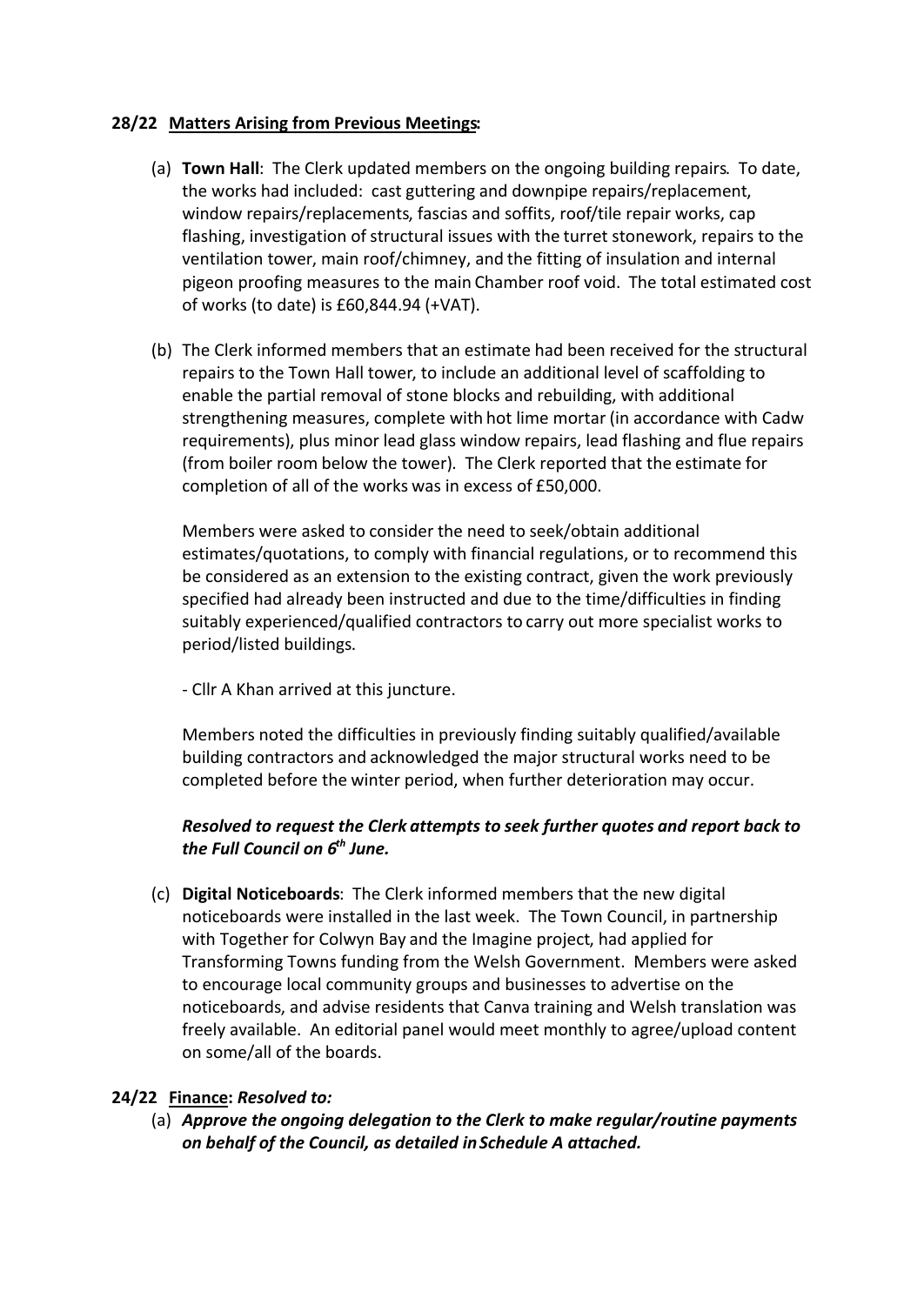#### **28/22 Matters Arising from Previous Meetings:**

- (a) **Town Hall**: The Clerk updated members on the ongoing building repairs. To date, the works had included: cast guttering and downpipe repairs/replacement, window repairs/replacements, fascias and soffits, roof/tile repair works, cap flashing, investigation of structural issues with the turret stonework, repairs to the ventilation tower, main roof/chimney, and the fitting of insulation and internal pigeon proofing measures to the main Chamber roof void. The total estimated cost of works (to date) is £60,844.94 (+VAT).
- (b) The Clerk informed members that an estimate had been received for the structural repairs to the Town Hall tower, to include an additional level of scaffolding to enable the partial removal of stone blocks and rebuilding, with additional strengthening measures, complete with hot lime mortar (in accordance with Cadw requirements), plus minor lead glass window repairs, lead flashing and flue repairs (from boiler room below the tower). The Clerk reported that the estimate for completion of all of the works was in excess of £50,000.

Members were asked to consider the need to seek/obtain additional estimates/quotations, to comply with financial regulations, or to recommend this be considered as an extension to the existing contract, given the work previously specified had already been instructed and due to the time/difficulties in finding suitably experienced/qualified contractors to carry out more specialist works to period/listed buildings.

- Cllr A Khan arrived at this juncture.

Members noted the difficulties in previously finding suitably qualified/available building contractors and acknowledged the major structural works need to be completed before the winter period, when further deterioration may occur.

# *Resolved to request the Clerk attempts to seek further quotes and report back to the Full Council on 6th June.*

(c) **Digital Noticeboards**: The Clerk informed members that the new digital noticeboards were installed in the last week. The Town Council, in partnership with Together for Colwyn Bay and the Imagine project, had applied for Transforming Towns funding from the Welsh Government. Members were asked to encourage local community groups and businesses to advertise on the noticeboards, and advise residents that Canva training and Welsh translation was freely available. An editorial panel would meet monthly to agree/upload content on some/all of the boards.

## **24/22 Finance:** *Resolved to:*

(a) *Approve the ongoing delegation to the Clerk to make regular/routine payments on behalf of the Council, as detailed in Schedule A attached.*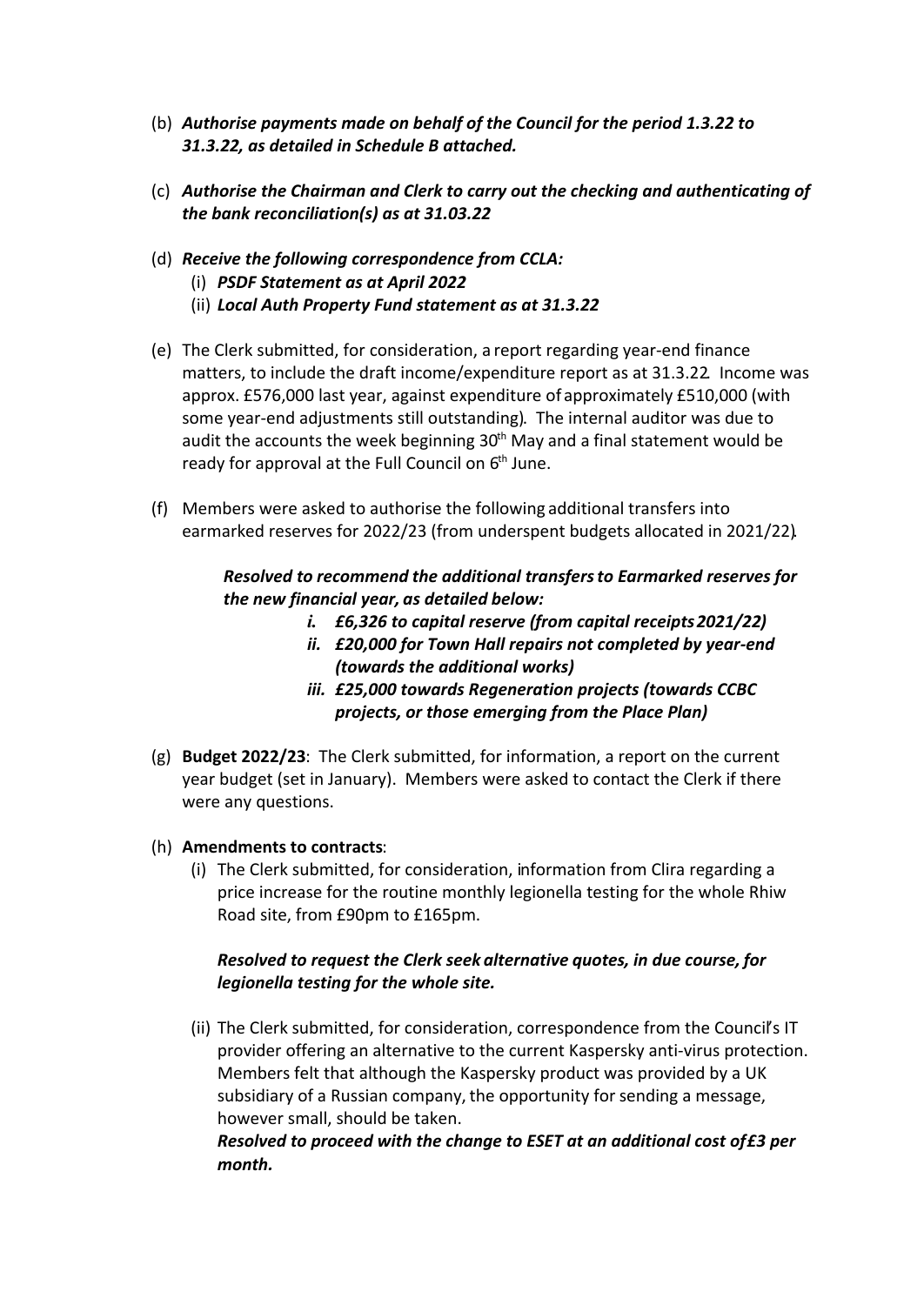- (b) *Authorise payments made on behalf of the Council for the period 1.3.22 to 31.3.22, as detailed in Schedule B attached.*
- (c) *Authorise the Chairman and Clerk to carry out the checking and authenticating of the bank reconciliation(s) as at 31.03.22*
- (d) *Receive the following correspondence from CCLA:*
	- (i) *PSDF Statement as at April 2022*
	- (ii) *Local Auth Property Fund statement as at 31.3.22*
- (e) The Clerk submitted, for consideration, a report regarding year-end finance matters, to include the draft income/expenditure report as at 31.3.22. Income was approx. £576,000 last year, against expenditure of approximately £510,000 (with some year-end adjustments still outstanding). The internal auditor was due to audit the accounts the week beginning  $30<sup>th</sup>$  May and a final statement would be ready for approval at the Full Council on  $6<sup>th</sup>$  June.
- (f) Members were asked to authorise the following additional transfers into earmarked reserves for 2022/23 (from underspent budgets allocated in 2021/22).

## *Resolved to recommend the additional transfers to Earmarked reserves for the new financial year, as detailed below:*

- *i. £6,326 to capital reserve (from capital receipts 2021/22)*
- *ii. £20,000 for Town Hall repairs not completed by year-end (towards the additional works)*
- *iii. £25,000 towards Regeneration projects (towards CCBC projects, or those emerging from the Place Plan)*
- (g) **Budget 2022/23**: The Clerk submitted, for information, a report on the current year budget (set in January). Members were asked to contact the Clerk if there were any questions.
- (h) **Amendments to contracts**:
	- (i) The Clerk submitted, for consideration, information from Clira regarding a price increase for the routine monthly legionella testing for the whole Rhiw Road site, from £90pm to £165pm.

## *Resolved to request the Clerk seek alternative quotes, in due course, for legionella testing for the whole site.*

(ii) The Clerk submitted, for consideration, correspondence from the Council's IT provider offering an alternative to the current Kaspersky anti-virus protection. Members felt that although the Kaspersky product was provided by a UK subsidiary of a Russian company, the opportunity for sending a message, however small, should be taken.

*Resolved to proceed with the change to ESET at an additional cost of £3 per month.*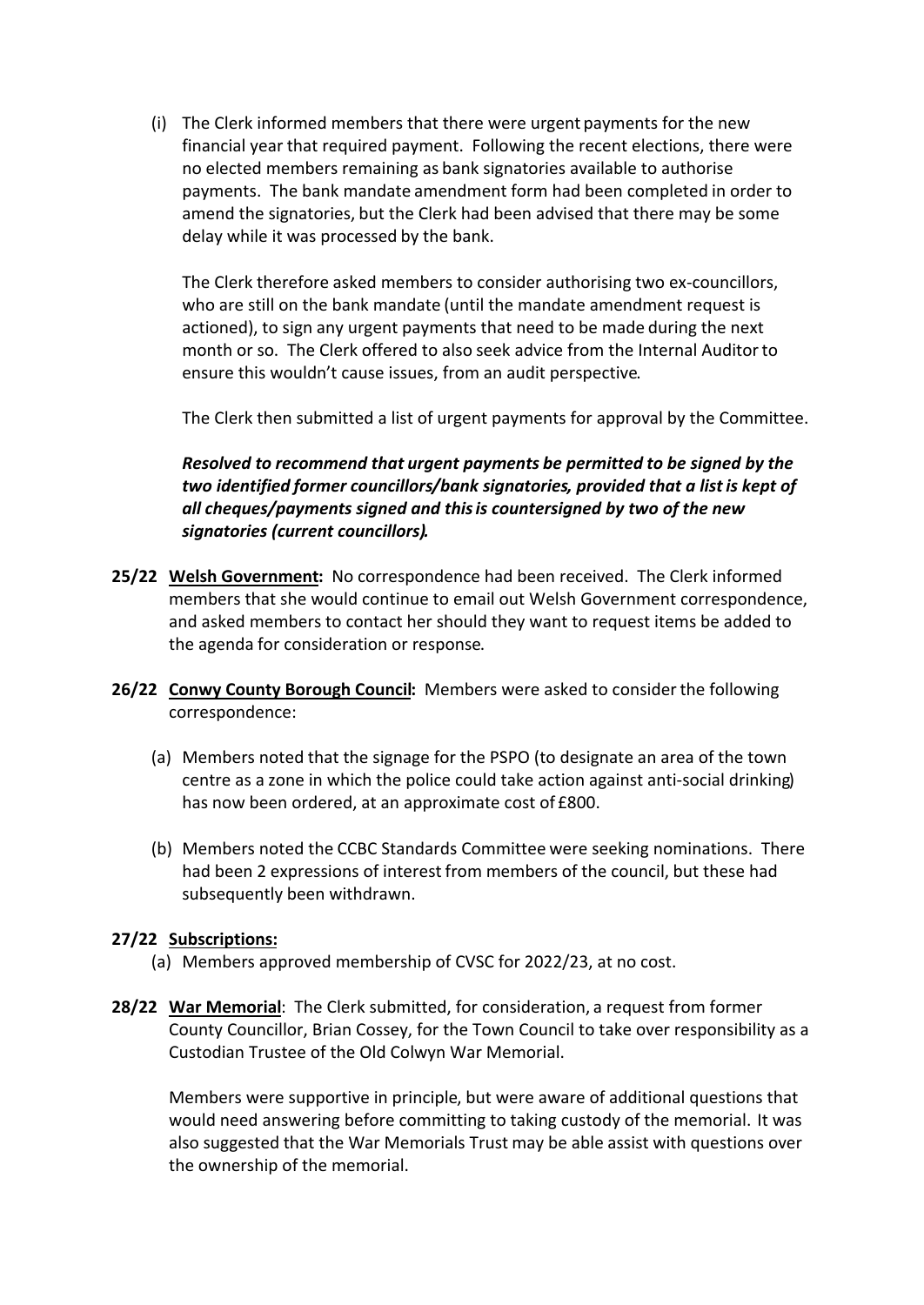(i) The Clerk informed members that there were urgent payments for the new financial year that required payment. Following the recent elections, there were no elected members remaining as bank signatories available to authorise payments. The bank mandate amendment form had been completed in order to amend the signatories, but the Clerk had been advised that there may be some delay while it was processed by the bank.

The Clerk therefore asked members to consider authorising two ex-councillors, who are still on the bank mandate (until the mandate amendment request is actioned), to sign any urgent payments that need to be made during the next month or so. The Clerk offered to also seek advice from the Internal Auditor to ensure this wouldn't cause issues, from an audit perspective.

The Clerk then submitted a list of urgent payments for approval by the Committee.

*Resolved to recommend that urgent payments be permitted to be signed by the two identified former councillors/bank signatories, provided that a list is kept of all cheques/payments signed and this is countersigned by two of the new signatories (current councillors).* 

- **25/22 Welsh Government:** No correspondence had been received. The Clerk informed members that she would continue to email out Welsh Government correspondence, and asked members to contact her should they want to request items be added to the agenda for consideration or response.
- **26/22 Conwy County Borough Council:** Members were asked to consider the following correspondence:
	- (a) Members noted that the signage for the PSPO (to designate an area of the town centre as a zone in which the police could take action against anti-social drinking) has now been ordered, at an approximate cost of £800.
	- (b) Members noted the CCBC Standards Committee were seeking nominations. There had been 2 expressions of interest from members of the council, but these had subsequently been withdrawn.

## **27/22 Subscriptions:**

- (a) Members approved membership of CVSC for 2022/23, at no cost.
- **28/22 War Memorial**: The Clerk submitted, for consideration, a request from former County Councillor, Brian Cossey, for the Town Council to take over responsibility as a Custodian Trustee of the Old Colwyn War Memorial.

Members were supportive in principle, but were aware of additional questions that would need answering before committing to taking custody of the memorial. It was also suggested that the War Memorials Trust may be able assist with questions over the ownership of the memorial.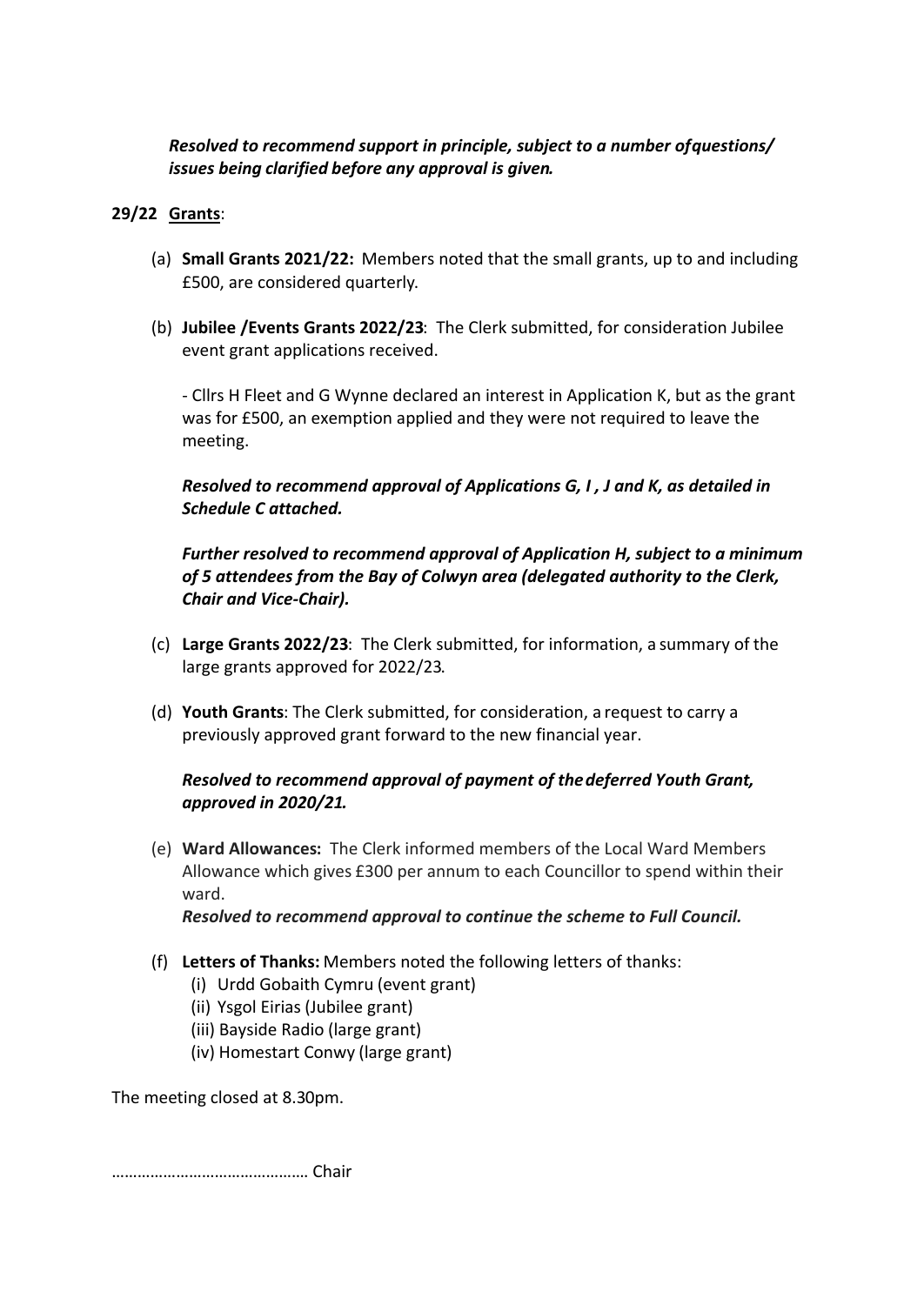# *Resolved to recommend support in principle, subject to a number of questions/ issues being clarified before any approval is given.*

#### **29/22 Grants**:

- (a) **Small Grants 2021/22:** Members noted that the small grants, up to and including £500, are considered quarterly.
- (b) **Jubilee /Events Grants 2022/23**: The Clerk submitted, for consideration Jubilee event grant applications received.

- Cllrs H Fleet and G Wynne declared an interest in Application K, but as the grant was for £500, an exemption applied and they were not required to leave the meeting.

*Resolved to recommend approval of Applications G, I , J and K, as detailed in Schedule C attached.* 

*Further resolved to recommend approval of Application H, subject to a minimum of 5 attendees from the Bay of Colwyn area (delegated authority to the Clerk, Chair and Vice-Chair).*

- (c) **Large Grants 2022/23**: The Clerk submitted, for information, a summary of the large grants approved for 2022/23.
- (d) **Youth Grants**: The Clerk submitted, for consideration, a request to carry a previously approved grant forward to the new financial year.

# *Resolved to recommend approval of payment of the deferred Youth Grant, approved in 2020/21.*

(e) **Ward Allowances:** The Clerk informed members of the Local Ward Members Allowance which gives £300 per annum to each Councillor to spend within their ward.

*Resolved to recommend approval to continue the scheme to Full Council.* 

- (f) **Letters of Thanks:** Members noted the following letters of thanks:
	- (i) Urdd Gobaith Cymru (event grant)
	- (ii) Ysgol Eirias (Jubilee grant)
	- (iii) Bayside Radio (large grant)
	- (iv) Homestart Conwy (large grant)

The meeting closed at 8.30pm.

………………………………………. Chair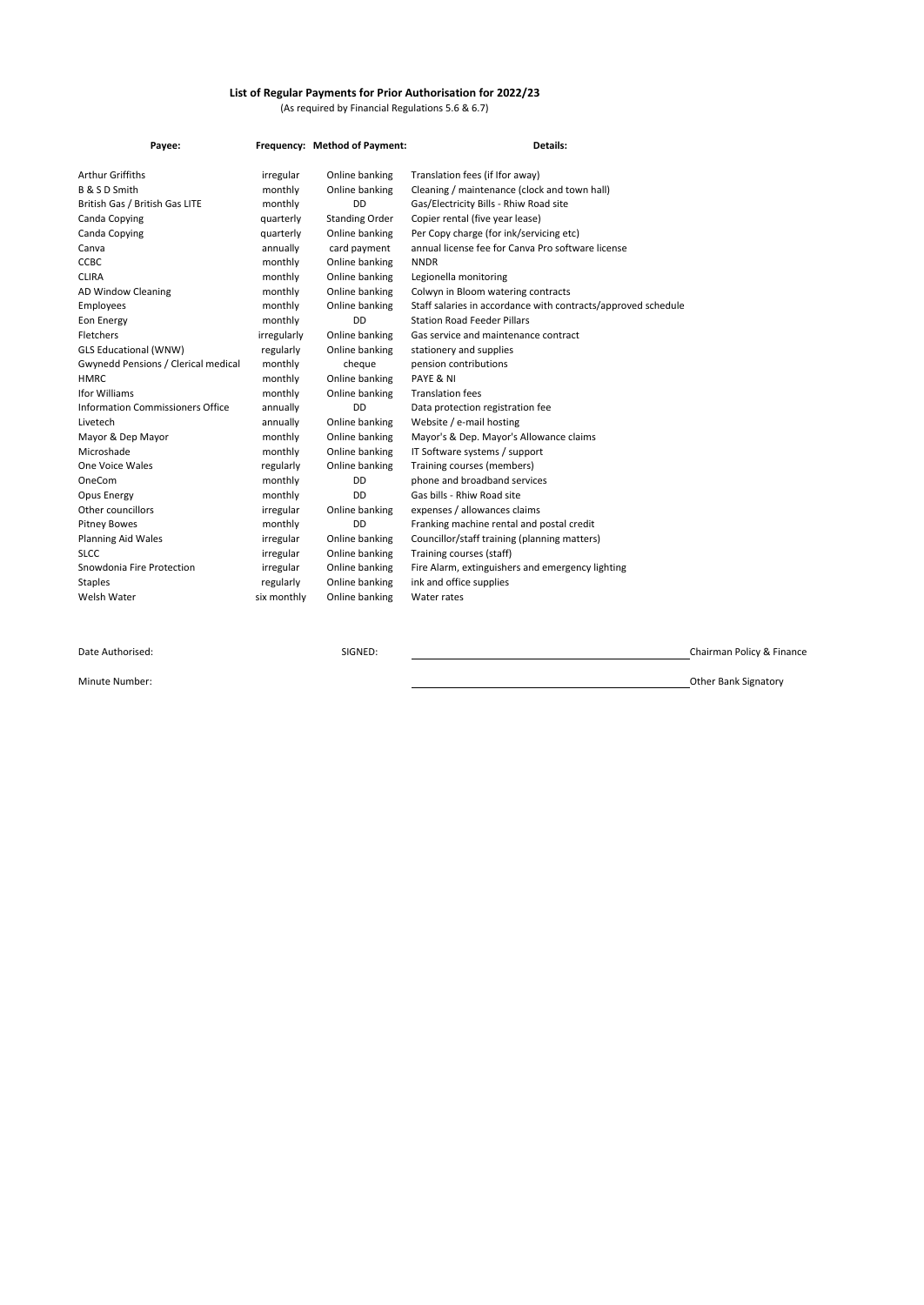#### **List of Regular Payments for Prior Authorisation for 2022/23**

(As required by Financial Regulations 5.6 & 6.7)

| Payee:                              | Frequency: Method of Payment: |                       | Details:                                                      |  |  |  |  |
|-------------------------------------|-------------------------------|-----------------------|---------------------------------------------------------------|--|--|--|--|
| <b>Arthur Griffiths</b>             | irregular                     | Online banking        | Translation fees (if Ifor away)                               |  |  |  |  |
| B & S D Smith                       | monthly                       | Online banking        | Cleaning / maintenance (clock and town hall)                  |  |  |  |  |
| British Gas / British Gas LITE      | monthly                       | <b>DD</b>             | Gas/Electricity Bills - Rhiw Road site                        |  |  |  |  |
| Canda Copying                       | quarterly                     | <b>Standing Order</b> | Copier rental (five year lease)                               |  |  |  |  |
| Canda Copying                       | quarterly                     | Online banking        | Per Copy charge (for ink/servicing etc)                       |  |  |  |  |
| Canva                               | annually                      | card payment          | annual license fee for Canva Pro software license             |  |  |  |  |
| CCBC                                | monthly                       | Online banking        | <b>NNDR</b>                                                   |  |  |  |  |
| <b>CLIRA</b>                        | monthly                       | Online banking        | Legionella monitoring                                         |  |  |  |  |
| <b>AD Window Cleaning</b>           | monthly                       | Online banking        | Colwyn in Bloom watering contracts                            |  |  |  |  |
| Employees                           | monthly                       | Online banking        | Staff salaries in accordance with contracts/approved schedule |  |  |  |  |
| Eon Energy                          | monthly                       | <b>DD</b>             | <b>Station Road Feeder Pillars</b>                            |  |  |  |  |
| Fletchers                           | irregularly                   | Online banking        | Gas service and maintenance contract                          |  |  |  |  |
| <b>GLS Educational (WNW)</b>        | regularly                     | Online banking        | stationery and supplies                                       |  |  |  |  |
| Gwynedd Pensions / Clerical medical | monthly                       | cheque                | pension contributions                                         |  |  |  |  |
| <b>HMRC</b>                         | monthly                       | Online banking        | PAYE & NI                                                     |  |  |  |  |
| Ifor Williams                       | monthly                       | Online banking        | <b>Translation fees</b>                                       |  |  |  |  |
| Information Commissioners Office    | annually                      | <b>DD</b>             | Data protection registration fee                              |  |  |  |  |
| Livetech                            | annually                      | Online banking        | Website / e-mail hosting                                      |  |  |  |  |
| Mayor & Dep Mayor                   | monthly                       | Online banking        | Mayor's & Dep. Mayor's Allowance claims                       |  |  |  |  |
| Microshade                          | monthly                       | Online banking        | IT Software systems / support                                 |  |  |  |  |
| One Voice Wales                     | regularly                     | Online banking        | Training courses (members)                                    |  |  |  |  |
| OneCom                              | monthly                       | DD                    | phone and broadband services                                  |  |  |  |  |
| Opus Energy                         | monthly                       | <b>DD</b>             | Gas bills - Rhiw Road site                                    |  |  |  |  |
| Other councillors                   | irregular                     | Online banking        | expenses / allowances claims                                  |  |  |  |  |
| <b>Pitney Bowes</b>                 | monthly                       | DD                    | Franking machine rental and postal credit                     |  |  |  |  |
| <b>Planning Aid Wales</b>           | irregular                     | Online banking        | Councillor/staff training (planning matters)                  |  |  |  |  |
| <b>SLCC</b>                         | irregular                     | Online banking        | Training courses (staff)                                      |  |  |  |  |
| Snowdonia Fire Protection           | irregular                     | Online banking        | Fire Alarm, extinguishers and emergency lighting              |  |  |  |  |
| <b>Staples</b>                      | regularly                     | Online banking        | ink and office supplies                                       |  |  |  |  |
| Welsh Water                         | six monthly                   | Online banking        | Water rates                                                   |  |  |  |  |

Date Authorised: SIGNED: Chairman Policy & Finance

Minute Number: **Other Bank Signatory Chank Signatory Other Bank Signatory Other Bank Signatory**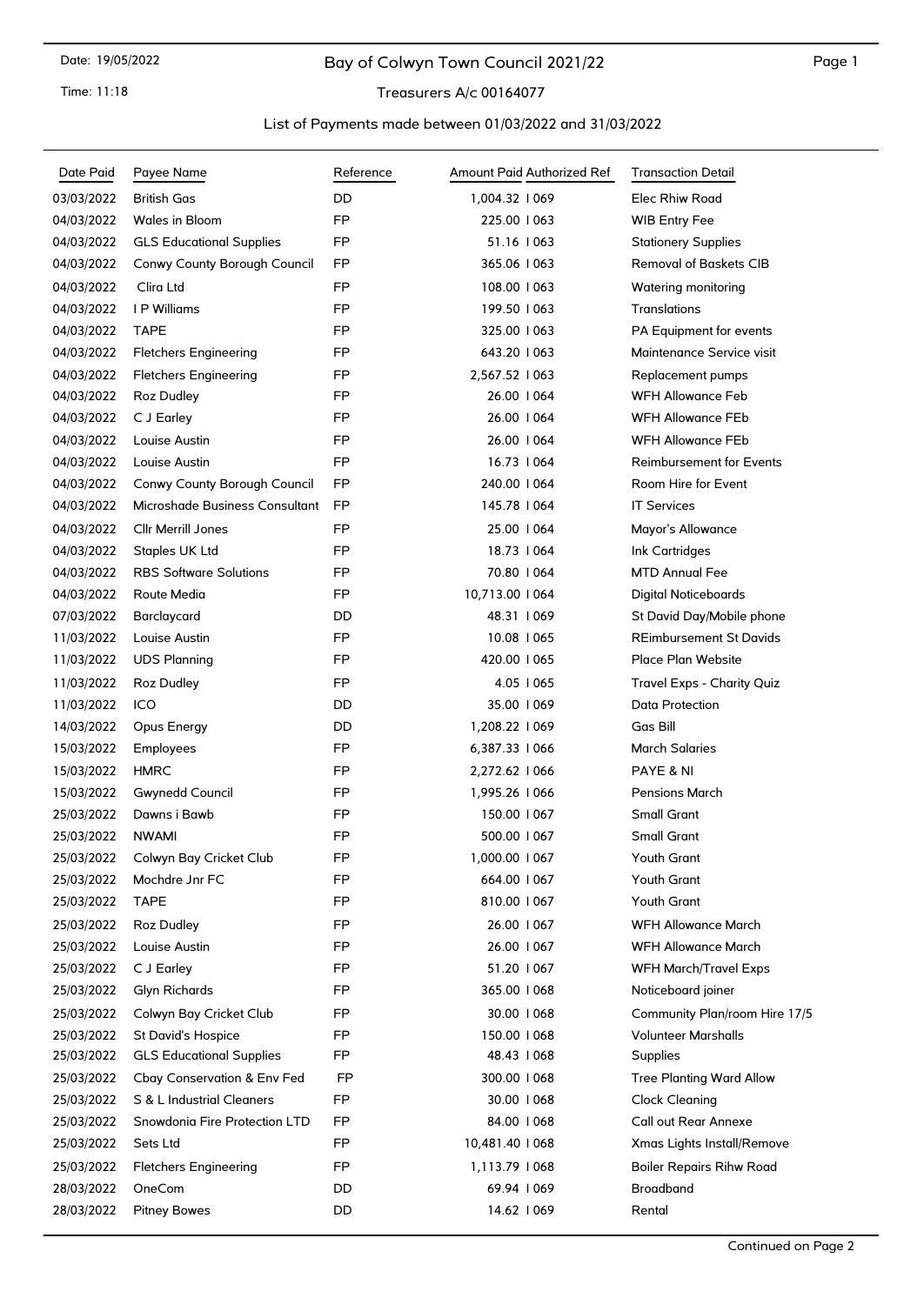Time: 11:18

# Bay of Colwyn Town Council 2021/22

# Treasurers A/c 00164077

#### List of Payments made between 01/03/2022 and 31/03/2022

| Date Paid  | Payee Name                             | Reference | Amount Paid Authorized Ref | <b>Transaction Detail</b>       |  |  |
|------------|----------------------------------------|-----------|----------------------------|---------------------------------|--|--|
| 03/03/2022 | <b>British Gas</b>                     | DD        | 1.004.32   069             | <b>Elec Rhiw Road</b>           |  |  |
| 04/03/2022 | Wales in Bloom                         | <b>FP</b> | 225.00   063               | <b>WIB Entry Fee</b>            |  |  |
| 04/03/2022 | <b>GLS Educational Supplies</b>        | <b>FP</b> | 51.16 1063                 | <b>Stationery Supplies</b>      |  |  |
| 04/03/2022 | Conwy County Borough Council           | <b>FP</b> | 365.06 1063                | <b>Removal of Baskets CIB</b>   |  |  |
| 04/03/2022 | Clira Ltd                              | <b>FP</b> | 108.00   063               | <b>Watering monitoring</b>      |  |  |
| 04/03/2022 | I P Williams                           | FP        | 199.50   063               | Translations                    |  |  |
| 04/03/2022 | <b>TAPE</b>                            | FP        | 325.00   063               | PA Equipment for events         |  |  |
| 04/03/2022 | <b>Fletchers Engineering</b>           | <b>FP</b> | 643.20 1063                | Maintenance Service visit       |  |  |
| 04/03/2022 | <b>Fletchers Engineering</b>           | <b>FP</b> | 2,567.52   063             | Replacement pumps               |  |  |
| 04/03/2022 | Roz Dudley                             | FP        | 26.00   064                | <b>WFH Allowance Feb</b>        |  |  |
| 04/03/2022 | C J Earley                             | <b>FP</b> | 26.00   064                | <b>WFH Allowance FEb</b>        |  |  |
| 04/03/2022 | Louise Austin                          | <b>FP</b> | 26.00   064                | <b>WFH Allowance FEb</b>        |  |  |
| 04/03/2022 | Louise Austin                          | FP        | 16.73 1064                 | <b>Reimbursement for Events</b> |  |  |
| 04/03/2022 | Conwy County Borough Council           | <b>FP</b> | 240.00   064               | Room Hire for Event             |  |  |
| 04/03/2022 | Microshade Business Consultant         | <b>FP</b> | 145.78   064               | <b>IT Services</b>              |  |  |
| 04/03/2022 | Cllr Merrill Jones                     | <b>FP</b> | 25.00   064                | Mayor's Allowance               |  |  |
| 04/03/2022 | Staples UK Ltd                         | FP        | 18.73   064                | <b>Ink Cartridges</b>           |  |  |
| 04/03/2022 | <b>RBS Software Solutions</b>          | FP        | 70.80   064                | <b>MTD Annual Fee</b>           |  |  |
| 04/03/2022 | Route Media                            | <b>FP</b> | 10,713.00   064            | Digital Noticeboards            |  |  |
| 07/03/2022 | Barclaycard                            | DD        | 48.31 1069                 | St David Day/Mobile phone       |  |  |
| 11/03/2022 | Louise Austin                          | <b>FP</b> | 10.08   065                | <b>REimbursement St Davids</b>  |  |  |
| 11/03/2022 | <b>UDS Planning</b>                    | FP        | 420.00   065               | Place Plan Website              |  |  |
| 11/03/2022 | <b>Roz Dudley</b>                      | <b>FP</b> | 4.05   065                 | Travel Exps - Charity Quiz      |  |  |
| 11/03/2022 | ICO                                    | DD        | 35.00 1069                 | <b>Data Protection</b>          |  |  |
| 14/03/2022 | Opus Energy                            | DD        | 1,208.22   069             | Gas Bill                        |  |  |
| 15/03/2022 | Employees                              | <b>FP</b> | 6,387.33   066             | <b>March Salaries</b>           |  |  |
| 15/03/2022 | <b>HMRC</b>                            | FP        | 2,272.62   066             | PAYE & NI                       |  |  |
| 15/03/2022 | <b>Gwynedd Council</b>                 | FP        | 1,995.26   066             | <b>Pensions March</b>           |  |  |
| 25/03/2022 | Dawns i Bawb                           | FP        | 150.00   067               | <b>Small Grant</b>              |  |  |
| 25/03/2022 | <b>NWAMI</b>                           | <b>FP</b> | 500.00   067               | <b>Small Grant</b>              |  |  |
| 25/03/2022 | Colwyn Bay Cricket Club                | FP        | 1,000.00   067             | Youth Grant                     |  |  |
| 25/03/2022 | Mochdre Jnr FC                         | <b>FP</b> | 664.00   067               | Youth Grant                     |  |  |
| 25/03/2022 | <b>TAPE</b>                            | <b>FP</b> | 810.00   067               | Youth Grant                     |  |  |
| 25/03/2022 | Roz Dudley                             | <b>FP</b> | 26.00   067                | <b>WFH Allowance March</b>      |  |  |
| 25/03/2022 | Louise Austin                          | FP        | 26.00   067                | WFH Allowance March             |  |  |
| 25/03/2022 | C J Earley                             | FP        | 51.20   067                | <b>WFH March/Travel Exps</b>    |  |  |
| 25/03/2022 | <b>Glyn Richards</b>                   | FP        | 365.00   068               | Noticeboard joiner              |  |  |
| 25/03/2022 | Colwyn Bay Cricket Club                | <b>FP</b> | 30.00   068                | Community Plan/room Hire 17/5   |  |  |
| 25/03/2022 | St David's Hospice                     | FP        | 150.00   068               | <b>Volunteer Marshalls</b>      |  |  |
| 25/03/2022 | <b>GLS Educational Supplies</b>        | FP        | 48.43   068                | Supplies                        |  |  |
| 25/03/2022 | <b>Cbay Conservation &amp; Env Fed</b> | FP        | 300.00   068               | <b>Tree Planting Ward Allow</b> |  |  |
| 25/03/2022 | S & L Industrial Cleaners              | FP        | 30.00   068                | Clock Cleaning                  |  |  |
| 25/03/2022 | Snowdonia Fire Protection LTD          | FP        | 84.00   068                | <b>Call out Rear Annexe</b>     |  |  |
| 25/03/2022 | Sets Ltd                               | FP        | 10,481.40   068            | Xmas Lights Install/Remove      |  |  |
| 25/03/2022 | <b>Fletchers Engineering</b>           | FP        | 1,113.79   068             | <b>Boiler Repairs Rihw Road</b> |  |  |
| 28/03/2022 | OneCom                                 | DD        | 69.94   069                | <b>Broadband</b>                |  |  |
| 28/03/2022 | <b>Pitney Bowes</b>                    | DD        | 14.62   069                | Rental                          |  |  |
|            |                                        |           |                            |                                 |  |  |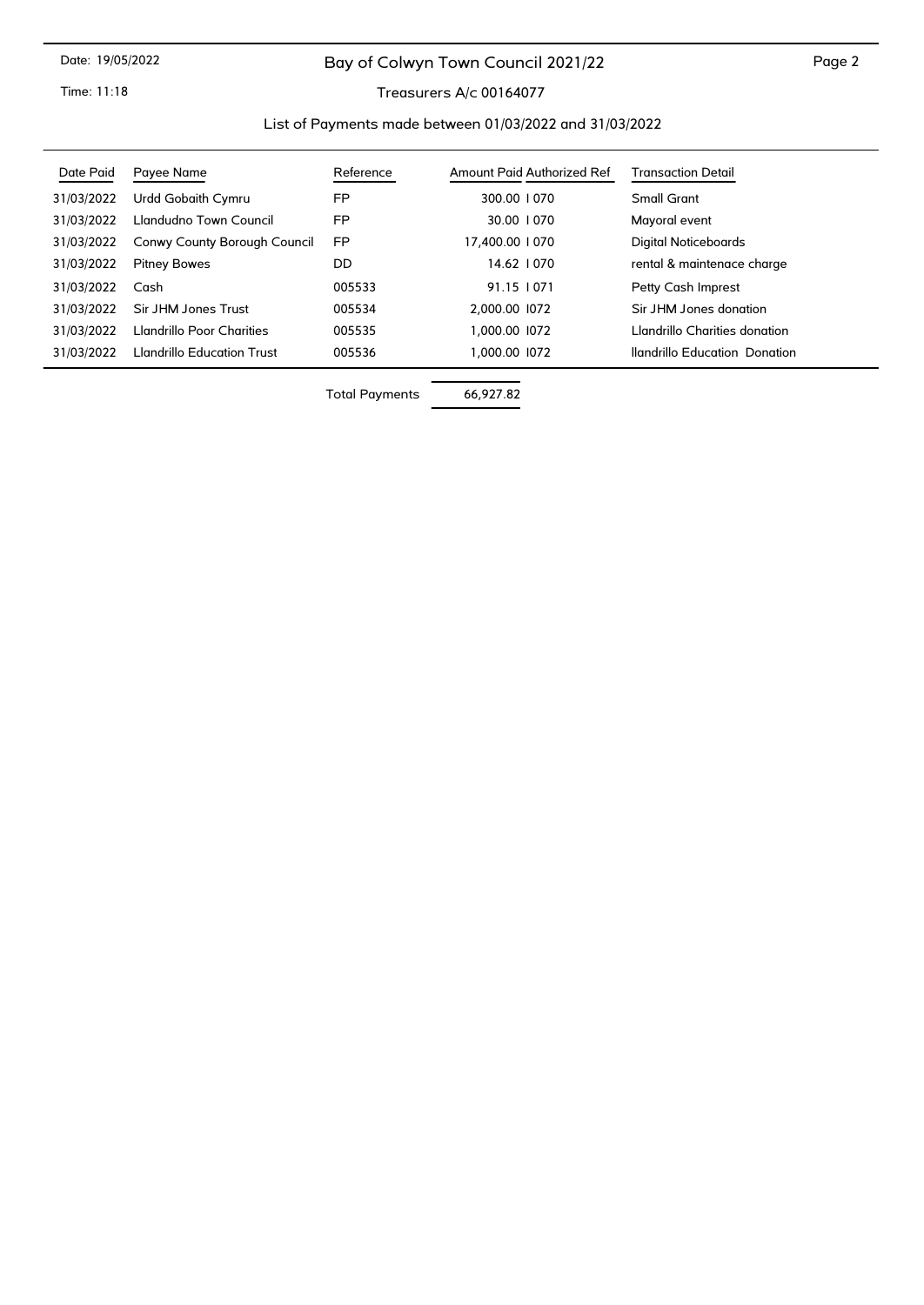# Bay of Colwyn Town Council 2021/22

Time: 11:18

# Treasurers A/c 00164077

#### List of Payments made between 01/03/2022 and 31/03/2022

| Date Paid  | Payee Name                        | Reference | Amount Paid Authorized Ref | <b>Transaction Detail</b>            |
|------------|-----------------------------------|-----------|----------------------------|--------------------------------------|
| 31/03/2022 | Urdd Gobaith Cymru                | FP        | 300.00   070               | Small Grant                          |
| 31/03/2022 | Llandudno Town Council            | <b>FP</b> | 30.00   070                | Mayoral event                        |
| 31/03/2022 | Conwy County Borough Council      | <b>FP</b> | 17,400.00   070            | Digital Noticeboards                 |
| 31/03/2022 | <b>Pitney Bowes</b>               | DD        | 14.62   070                | rental & maintenace charge           |
| 31/03/2022 | Cash                              | 005533    | 91.15   071                | Petty Cash Imprest                   |
| 31/03/2022 | Sir JHM Jones Trust               | 005534    | 2,000.00 1072              | Sir JHM Jones donation               |
| 31/03/2022 | Llandrillo Poor Charities         | 005535    | 1,000.00 1072              | Llandrillo Charities donation        |
| 31/03/2022 | <b>Llandrillo Education Trust</b> | 005536    | 1.000.00 1072              | <b>Ilandrillo Education Donation</b> |

Total Payments 66,927.82